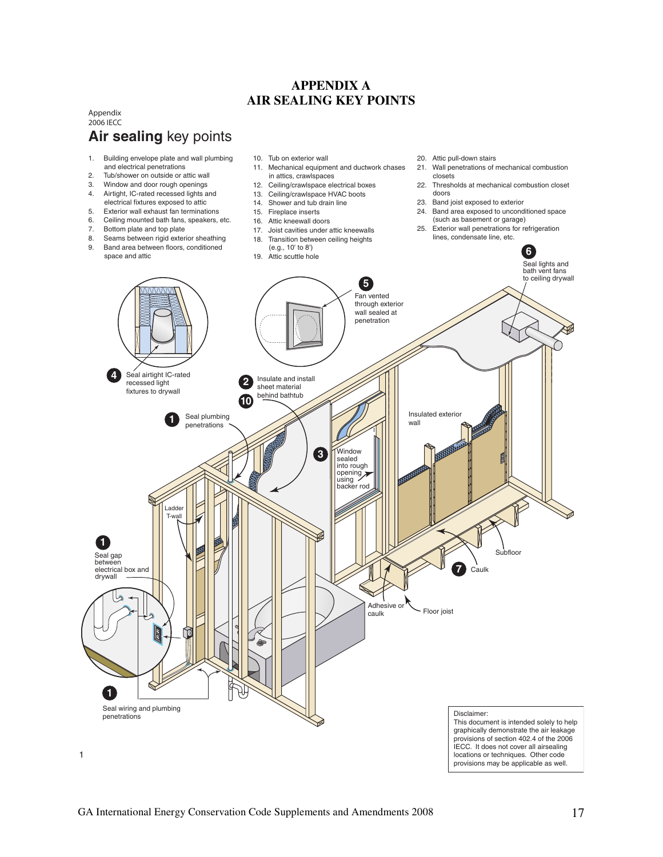# **APPENDIX A AIR SEALING KEY POINTS**

### **Air sealing** key points Appendix 2006 IECC

- 1. Building envelope plate and wall plumbing and electrical penetrations
- 2. Tub/shower on outside or attic wall
- 3. Window and door rough openings
- 4. Airtight, IC-rated recessed lights and electrical fixtures exposed to attic
- 5. Exterior wall exhaust fan terminations
- 6. Ceiling mounted bath fans, speakers, etc.
- 7. Bottom plate and top plate
- 8. Seams between rigid exterior sheathing
- 9. Band area between floors, conditioned space and attic
- 10. Tub on exterior wall 11. Mechanical equipment and ductwork chases in attics, crawlspaces
- 12. Ceiling/crawlspace electrical boxes
- 13. Ceiling/crawlspace HVAC boots
- 14. Shower and tub drain line
- 15. Fireplace inserts
- 16. Attic kneewall doors
- 
- 17. Joist cavities under attic kneewalls
- 18. Transition between ceiling heights (e.g., 10' to 8')
- 
- 20. Attic pull-down stairs
- 21. Wall penetrations of mechanical combustion closets
- 22. Thresholds at mechanical combustion closet doors
- 23. Band joist exposed to exterior
- 24. Band area exposed to unconditioned space
- (such as basement or garage) 25. Exterior wall penetrations for refrigeration lines, condensate line, etc.

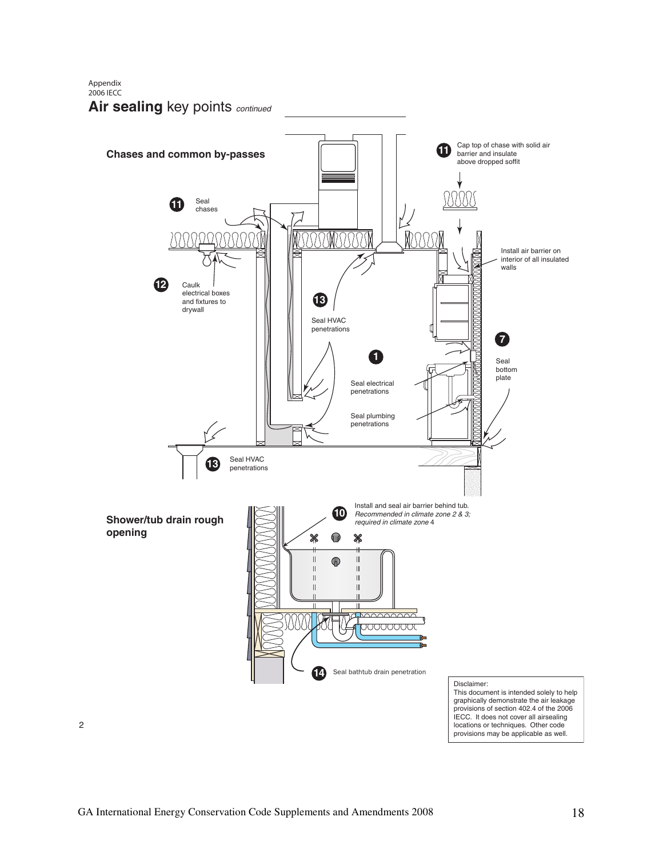Appendix 2006 IECC

2

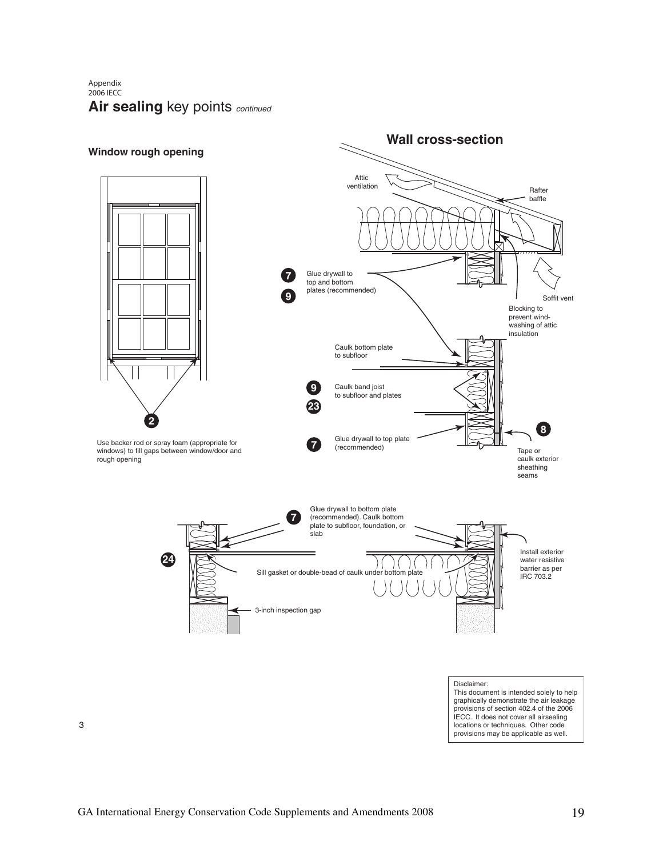Air sealing key points continued Appendix 2006 IECC



3

provisions may be applicable as well.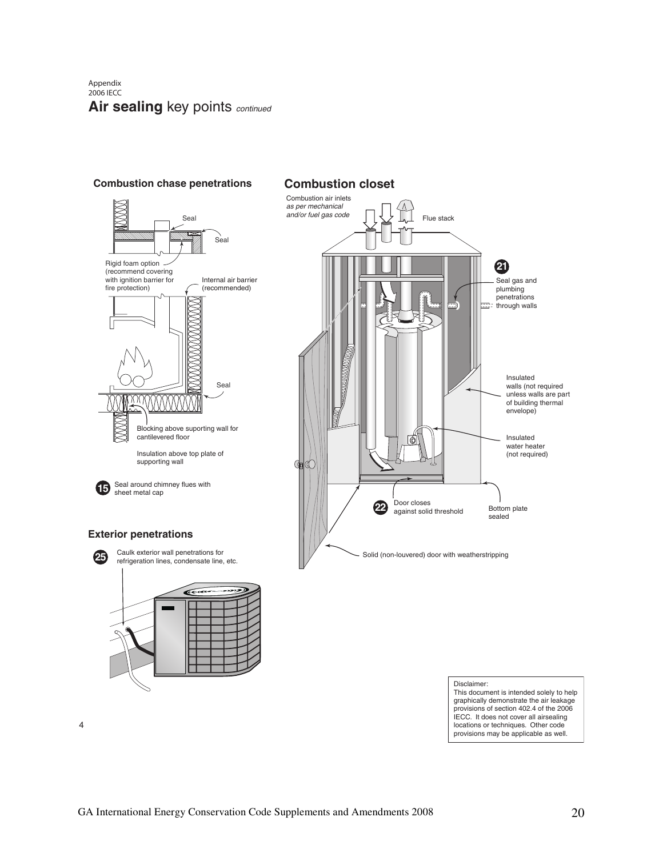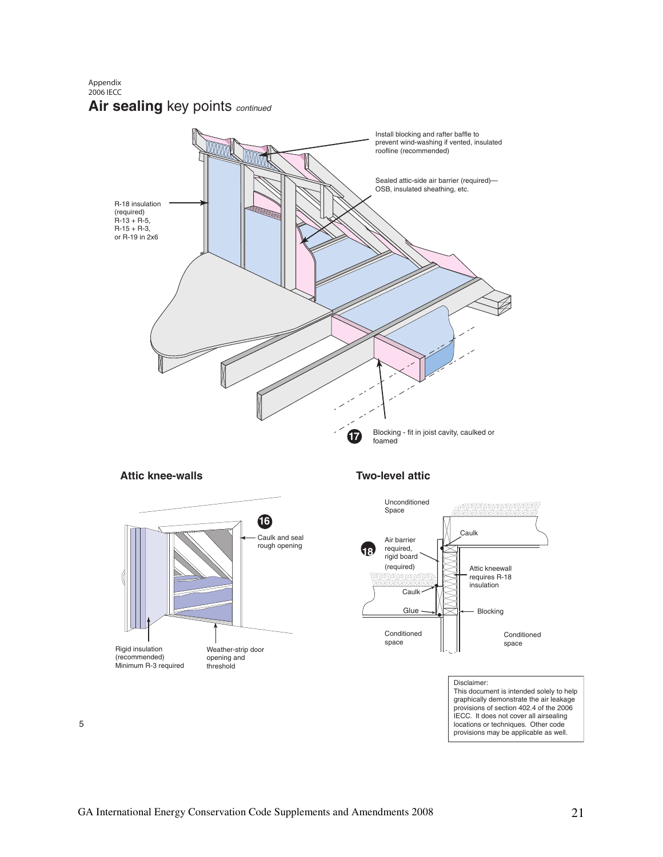Appendix 2006 IECC

# Air sealing key points continued



## **Attic knee-walls**



# **Two-level attic**



#### Disclaimer:

This document is intended solely to help graphically demonstrate the air leakage provisions of section 402.4 of the 2006 IECC. It does not cover all airsealing locations or techniques. Other code provisions may be applicable as well.

5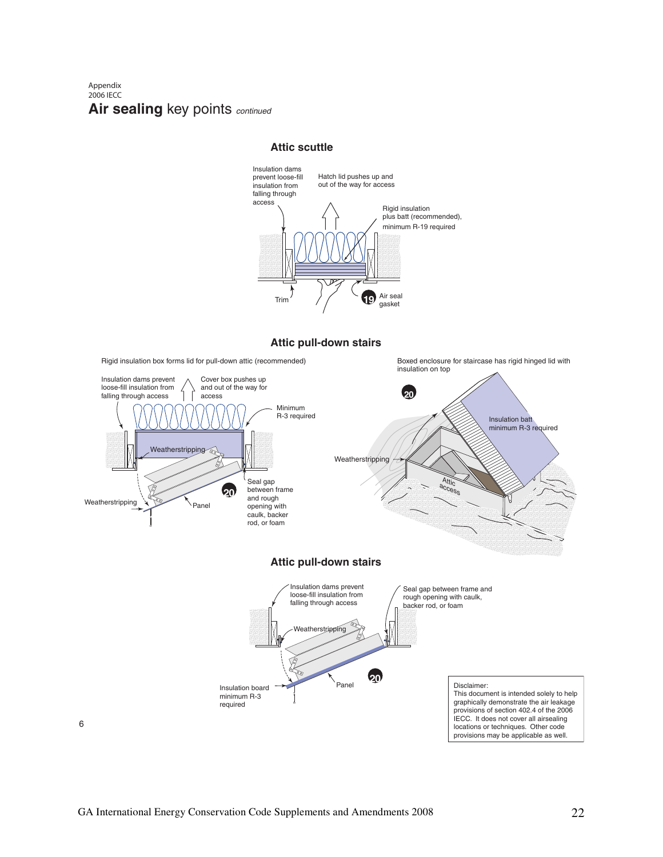#### **Air sealing key points continued** Appendix 2006 IECC

### **Attic scuttle**



**Attic pull-down stairs**